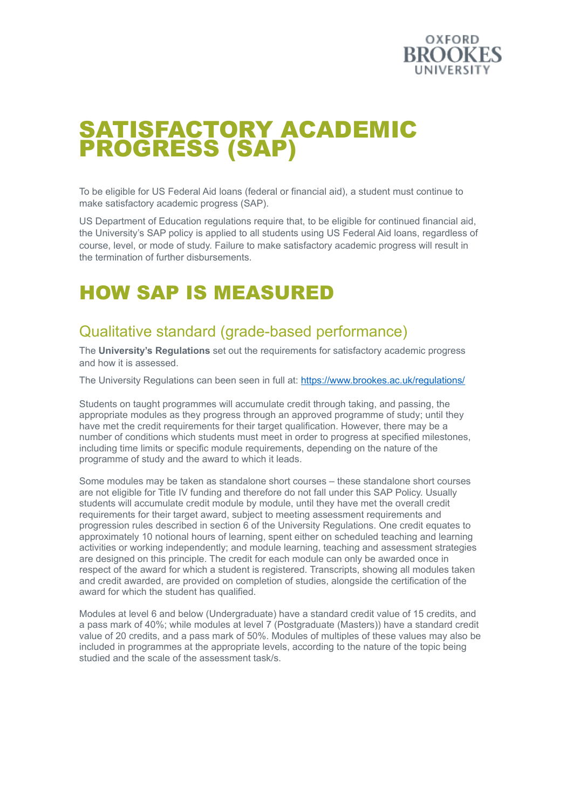

# SATISFACTORY ACADEMIC PROGRESS (SAP)

To be eligible for US Federal Aid loans (federal or financial aid), a student must continue to make satisfactory academic progress (SAP).

US Department of Education regulations require that, to be eligible for continued financial aid, the University's SAP policy is applied to all students using US Federal Aid loans, regardless of course, level, or mode of study. Failure to make satisfactory academic progress will result in the termination of further disbursements.

## HOW SAP IS MEASURED

#### Qualitative standard (grade-based performance)

The **University's [Regulations](http://www.brookes.ac.uk/regulations/)** set out the requirements for satisfactory academic progress and how it is assessed.

The University Regulations can been seen in full at: <https://www.brookes.ac.uk/regulations/>

Students on taught programmes will accumulate credit through taking, and passing, the appropriate modules as they progress through an approved programme of study; until they have met the credit requirements for their target qualification. However, there may be a number of conditions which students must meet in order to progress at specified milestones, including time limits or specific module requirements, depending on the nature of the programme of study and the award to which it leads.

Some modules may be taken as standalone short courses – these standalone short courses are not eligible for Title IV funding and therefore do not fall under this SAP Policy. Usually students will accumulate credit module by module, until they have met the overall credit requirements for their target award, subject to meeting assessment requirements and progression rules described in section 6 of the University Regulations. One credit equates to approximately 10 notional hours of learning, spent either on scheduled teaching and learning activities or working independently; and module learning, teaching and assessment strategies are designed on this principle. The credit for each module can only be awarded once in respect of the award for which a student is registered. Transcripts, showing all modules taken and credit awarded, are provided on completion of studies, alongside the certification of the award for which the student has qualified.

Modules at level 6 and below (Undergraduate) have a standard credit value of 15 credits, and a pass mark of 40%; while modules at level 7 (Postgraduate (Masters)) have a standard credit value of 20 credits, and a pass mark of 50%. Modules of multiples of these values may also be included in programmes at the appropriate levels, according to the nature of the topic being studied and the scale of the assessment task/s.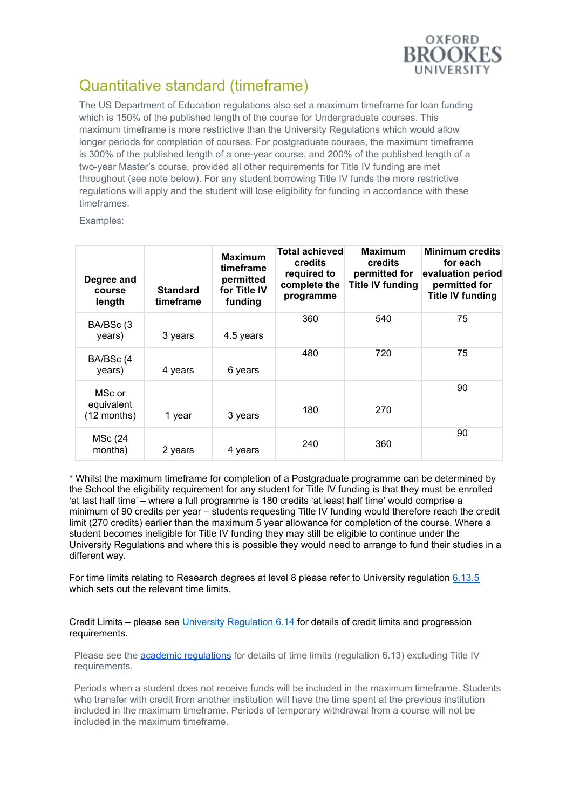

#### Quantitative standard (timeframe)

The US Department of Education regulations also set a maximum timeframe for loan funding which is 150% of the published length of the course for Undergraduate courses. This maximum timeframe is more restrictive than the University Regulations which would allow longer periods for completion of courses. For postgraduate courses, the maximum timeframe is 300% of the published length of a one-year course, and 200% of the published length of a two-year Master's course, provided all other requirements for Title IV funding are met throughout (see note below). For any student borrowing Title IV funds the more restrictive regulations will apply and the student will lose eligibility for funding in accordance with these timeframes.

Examples:

| Degree and<br>course<br>length      | <b>Standard</b><br>timeframe | <b>Maximum</b><br>timeframe<br>permitted<br>for Title IV<br>funding | <b>Total achieved</b><br>credits<br>required to<br>complete the<br>programme | <b>Maximum</b><br><b>credits</b><br>permitted for<br><b>Title IV funding</b> | <b>Minimum credits</b><br>for each<br>evaluation period<br>permitted for<br><b>Title IV funding</b> |
|-------------------------------------|------------------------------|---------------------------------------------------------------------|------------------------------------------------------------------------------|------------------------------------------------------------------------------|-----------------------------------------------------------------------------------------------------|
| BA/BSc (3)<br>years)                | 3 years                      | 4.5 years                                                           | 360                                                                          | 540                                                                          | 75                                                                                                  |
| BA/BSc (4<br>years)                 | 4 years                      | 6 years                                                             | 480                                                                          | 720                                                                          | 75                                                                                                  |
| MSc or<br>equivalent<br>(12 months) | 1 year                       | 3 years                                                             | 180                                                                          | 270                                                                          | 90                                                                                                  |
| MSc (24<br>months)                  | 2 years                      | 4 years                                                             | 240                                                                          | 360                                                                          | 90                                                                                                  |

\* Whilst the maximum timeframe for completion of a Postgraduate programme can be determined by the School the eligibility requirement for any student for Title IV funding is that they must be enrolled 'at last half time' – where a full programme is 180 credits 'at least half time' would comprise a minimum of 90 credits per year – students requesting Title IV funding would therefore reach the credit limit (270 credits) earlier than the maximum 5 year allowance for completion of the course. Where a student becomes ineligible for Title IV funding they may still be eligible to continue under the University Regulations and where this is possible they would need to arrange to fund their studies in a different way.

For time limits relating to Research degrees at level 8 please refer to University regulation [6.13.5](https://www.brookes.ac.uk/regulations/assessment-and-progression/time-limits) which sets out the relevant time limits.

Credit Limits – please see University [Regulation](https://www.brookes.ac.uk/regulations/assessment-and-progression/credit-limits) 6.14 for details of credit limits and progression requirements.

Please see the academic [regulations](https://www.brookes.ac.uk/regulations/assessment-and-progression) for details of time limits (regulation 6.13) excluding Title IV requirements.

Periods when a student does not receive funds will be included in the maximum timeframe. Students who transfer with credit from another institution will have the time spent at the previous institution included in the maximum timeframe. Periods of temporary withdrawal from a course will not be included in the maximum timeframe.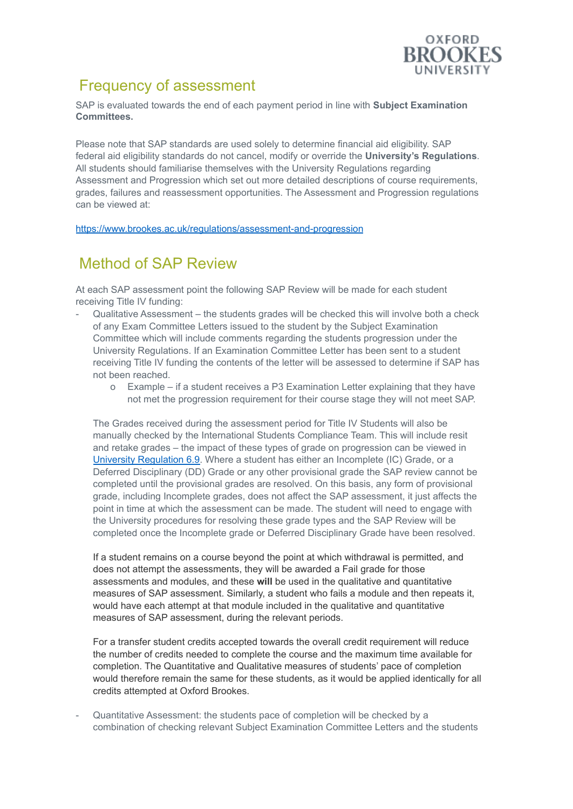

#### Frequency of assessment

SAP is evaluated towards the end of each payment period in line with **Subject [Examination](http://www.brookes.ac.uk/studying-at-brookes/learning-and-teaching/semester-dates/) [Committees.](http://www.brookes.ac.uk/studying-at-brookes/learning-and-teaching/semester-dates/)**

Please note that SAP standards are used solely to determine financial aid eligibility. SAP federal aid eligibility standards do not cancel, modify or [override](mailto:us-federal-loan@brookes.ac.uk) the **University's [Regulations](http://www.brookes.ac.uk/regulations/)**. All students should familiarise themselves with the University Regulations regarding Assessment and Progression which set out more detailed descriptions of course requirements, grades, failures and reassessment opportunities. The Assessment and Progression regulations can be viewed at:

<https://www.brookes.ac.uk/regulations/assessment-and-progression>

#### Method of SAP Review

At each SAP assessment point the following SAP Review will be made for each student receiving Title IV funding:

- Qualitative Assessment the students grades will be checked this will involve both a check of any Exam Committee Letters issued to the student by the Subject Examination Committee which will include comments regarding the students progression under the University Regulations. If an Examination Committee Letter has been sent to a student receiving Title IV funding the contents of the letter will be assessed to determine if SAP has not been reached.
	- o Example if a student receives a P3 Examination Letter explaining that they have not met the progression requirement for their course stage they will not meet SAP.

The Grades received during the assessment period for Title IV Students will also be manually checked by the International Students Compliance Team. This will include resit and retake grades – the impact of these types of grade on progression can be viewed in University [Regulation](https://www.brookes.ac.uk/regulations/assessment-and-progression/failure-and-reassessment) 6.9. Where a student has either an Incomplete (IC) Grade, or a Deferred Disciplinary (DD) Grade or any other provisional grade the SAP review cannot be completed until the provisional grades are resolved. On this basis, any form of provisional grade, including Incomplete grades, does not affect the SAP assessment, it just affects the point in time at which the assessment can be made. The student will need to engage with the University procedures for resolving these grade types and the SAP Review will be completed once the Incomplete grade or Deferred Disciplinary Grade have been resolved.

If a student remains on a course beyond the point at which withdrawal is permitted, and does not attempt the assessments, they will be awarded a Fail grade for those assessments and modules, and these **will** be used in the qualitative and quantitative measures of SAP assessment. Similarly, a student who fails a module and then repeats it, would have each attempt at that module included in the qualitative and quantitative measures of SAP assessment, during the relevant periods.

For a transfer student credits accepted towards the overall credit requirement will reduce the number of credits needed to complete the course and the maximum time available for completion. The Quantitative and Qualitative measures of students' pace of completion would therefore remain the same for these students, as it would be applied identically for all credits attempted at Oxford Brookes.

- Quantitative Assessment: the students pace of completion will be checked by a combination of checking relevant Subject Examination Committee Letters and the students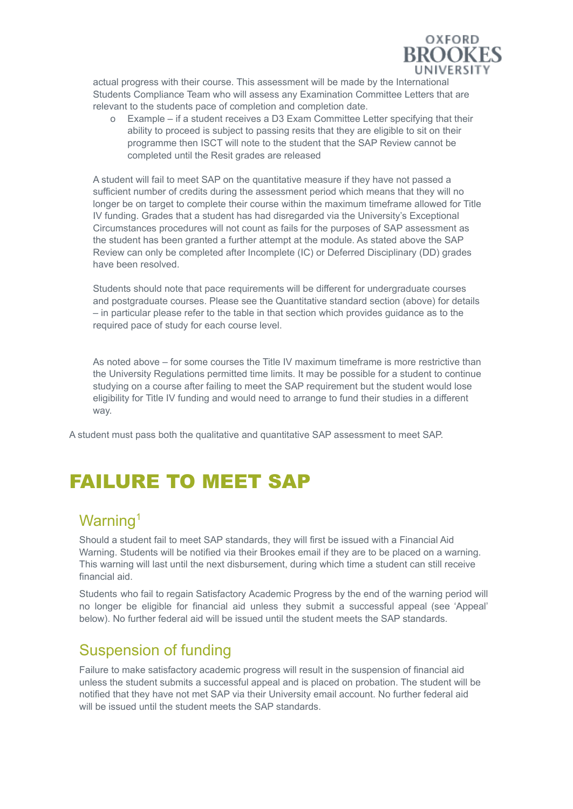

actual progress with their course. This assessment will be made by the International Students Compliance Team who will assess any Examination Committee Letters that are relevant to the students pace of completion and completion date.

o Example – if a student receives a D3 Exam Committee Letter specifying that their ability to proceed is subject to passing resits that they are eligible to sit on their programme then ISCT will note to the student that the SAP Review cannot be completed until the Resit grades are released

A student will fail to meet SAP on the quantitative measure if they have not passed a sufficient number of credits during the assessment period which means that they will no longer be on target to complete their course within the maximum timeframe allowed for Title IV funding. Grades that a student has had disregarded via the University's Exceptional Circumstances procedures will not count as fails for the purposes of SAP assessment as the student has been granted a further attempt at the module. As stated above the SAP Review can only be completed after Incomplete (IC) or Deferred Disciplinary (DD) grades have been resolved.

Students should note that pace requirements will be different for undergraduate courses and postgraduate courses. Please see the Quantitative standard section (above) for details – in particular please refer to the table in that section which provides guidance as to the required pace of study for each course level.

As noted above – for some courses the Title IV maximum timeframe is more restrictive than the University Regulations permitted time limits. It may be possible for a student to continue studying on a course after failing to meet the SAP requirement but the student would lose eligibility for Title IV funding and would need to arrange to fund their studies in a different way.

A student must pass both the qualitative and quantitative SAP assessment to meet SAP.

## FAILURE TO MEET SAP

### Warning<sup>1</sup>

Should a student fail to meet SAP standards, they will first be issued with a Financial Aid Warning. Students will be notified via their Brookes email if they are to be placed on a warning. This warning will last until the next disbursement, during which time a student can still receive financial aid.

Students who fail to regain Satisfactory Academic Progress by the end of the warning period will no longer be eligible for financial aid unless they submit a successful appeal (see 'Appeal' below). No further federal aid will be issued until the student meets the SAP standards.

#### Suspension of funding

Failure to make satisfactory academic progress will result in the suspension of financial aid unless the student submits a successful appeal and is placed on probation. The student will be notified that they have not met SAP via their University email account. No further federal aid will be issued until the student meets the SAP standards.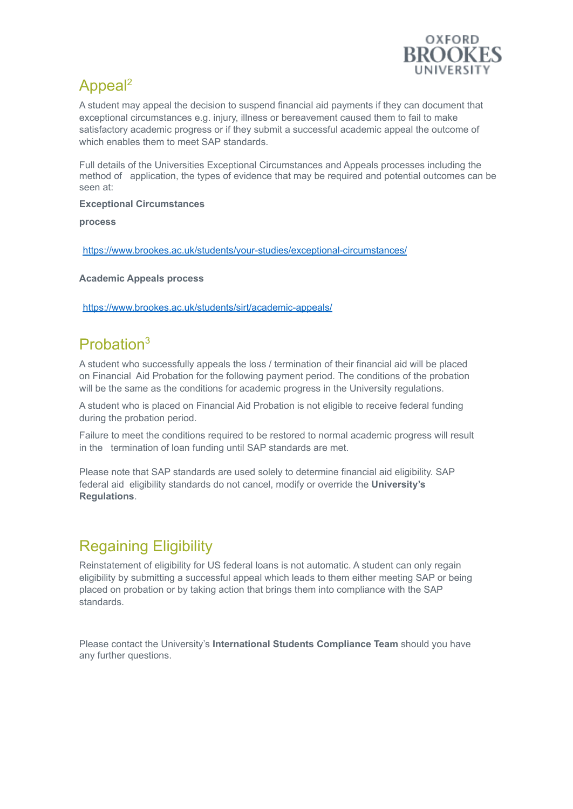

### Appeal<sup>2</sup>

A student may appeal the decision to suspend financial aid payments if they can document that exceptional circumstances e.g. injury, illness or bereavement caused them to fail to make satisfactory academic progress or if they submit a successful academic appeal the outcome of which enables them to meet SAP [standards.](http://www.brookes.ac.uk/students/your-studies/mitigating-circumstances/)

Full details of the Universities Exceptional Circumstances and Appeals processes including the method of application, the types of evidence that may be required and potential outcomes can be seen at:

**Exceptional Circumstances**

**process**

<https://www.brookes.ac.uk/students/your-studies/exceptional-circumstances/>

**Academic Appeals process**

<https://www.brookes.ac.uk/students/sirt/academic-appeals/>

#### Probation 3

A student who successfully appeals the loss / termination of their financial aid will be placed on Financial Aid Probation for the following payment period. The conditions of the probation will be the same as the conditions for academic progress in the University regulations.

<span id="page-4-0"></span>A student who is placed on Financial Aid Probation is not eligible to receive federal funding during the probation period.

Failure to meet the conditions required to be restored to normal academic progress will result in the termination of loan funding until SAP standards are met.

Please note that SAP standards are used solely to determine financial aid eligibility. SAP federal aid eligibility standards do not cancel, modify or [override](mailto:us-federal-loan@brookes.ac.uk) the **[University's](http://www.brookes.ac.uk/regulations/) [Regulations](http://www.brookes.ac.uk/regulations/)**.

### Regaining Eligibility

Reinstatement of eligibility for US federal loans is not automatic. A student can only regain eligibility by submitting a successful appeal which leads to them either meeting SAP or being placed on probation or by taking action that brings them into compliance with the SAP standards.

Please contact the University's **[International](#page-4-0) Students Compliance Team** should you have any further questions.